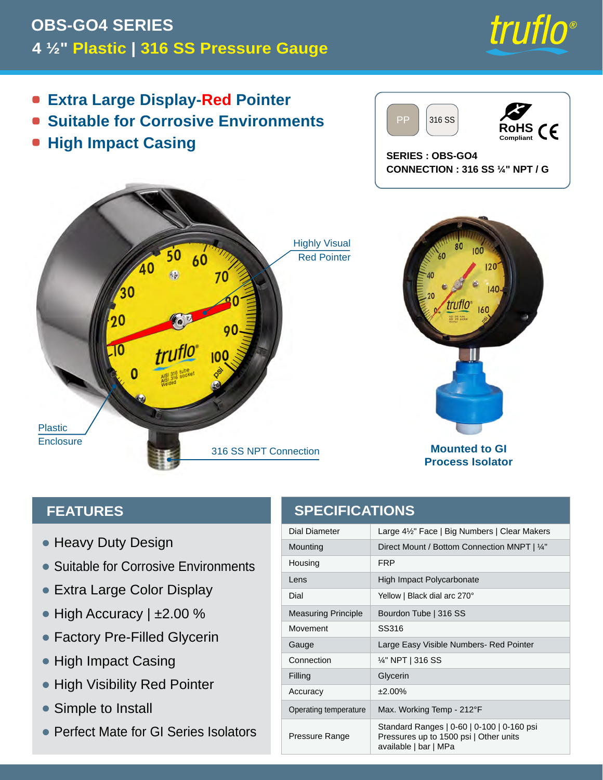

**Process Isolator**

#### **FEATURES**

- Heavy Duty Design
- Suitable for Corrosive Environments
- Extra Large Color Display •
- $\bullet$  High Accuracy | ±2.00 %
- Factory Pre-Filled Glycerin •
- High Impact Casing
- High Visibility Red Pointer
- Simple to Install  $\bullet$
- Perfect Mate for GI Series Isolators

### **SPECIFICATIONS**

| Dial Diameter              | Large 4½" Face   Big Numbers   Clear Makers  |
|----------------------------|----------------------------------------------|
| Mounting                   | Direct Mount / Bottom Connection MNPT   1/4" |
| Housing                    | <b>FRP</b>                                   |
| Lens                       | High Impact Polycarbonate                    |
| Dial                       | Yellow   Black dial arc 270°                 |
| <b>Measuring Principle</b> | Bourdon Tube   316 SS                        |
| Movement                   | SS316                                        |
| Gauge                      | Large Easy Visible Numbers- Red Pointer      |
| Connection                 | 1⁄4" NPT   316 SS                            |
|                            |                                              |
| Filling                    | Glycerin                                     |
| Accuracy                   | $±2.00\%$                                    |
| Operating temperature      | Max. Working Temp - 212°F                    |